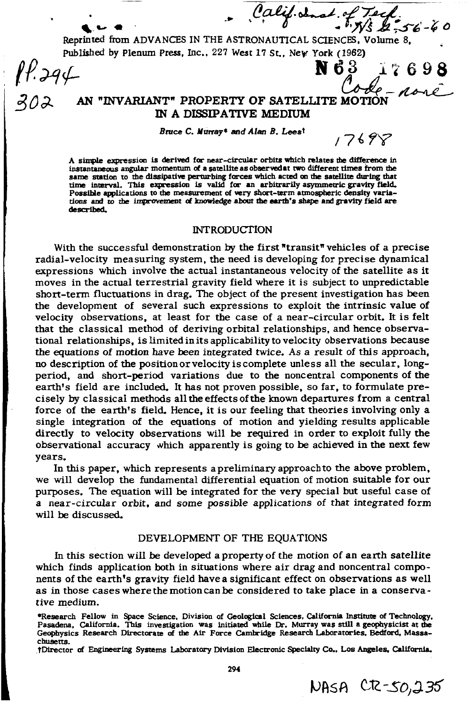Pality donat of Tech.<br>Reprinted from ADVANCES IN THE ASTRONAUTICAL SCIENCES, Volume 8,

Published by Plenum Press, Inc., 227 West 17 St., New York (1962)<br>  $\mathbf{r}^2 + 39\mathbf{r}$ <br>  $30\mathbf{r}$  AN "INVARIANT" PROPERTY OF SATELLITE MOTION ASSALE

# IN A DISSIPATIVE MEDIUM

Bruce C. Murray\* and Alan B. Leest

 $17698$ 

NASA CR-50,235

A simple expression is derived for near-circular orbits which relates the difference in instantaneous angular momentum of a satellite as observed at two different times from the same station to the dissipative perturbing forces which acted on the satellite during that time interval. This expression is valid for an arbitrarily asymmetric gravity field. Possible applications to the measurement of very short-term atmospberic density variations and to the improvement of knowledge about the earth's shape and gravity field are described.

### INTRODUCTION

With the successful demonstration by the first "transit" vehicles of a precise radial-velocity measuring system, the need is developing for precise dynamical expressions which involve the actual instantaneous velocity of the satellite as it moves in the actual terrestrial gravity field where it is subject to unpredictable short-term fluctuations in drag. The object of the present investigation bas been the development of several such expressions to exploit the intrinsic value of velocity observations, at least for the case of a near-circular orbit. It is felt that the classical method of deriving orbital relationships, and hence observational relationships, is limited in its applicability to velocity observations because the equations of motion have been integrated twice. As a result of this approach, no description of the position or velocity is complete unless all the secular, longperiod, and short-period variations due to the noncentral components of the earth's field are included. It has not proven possible, so far, to formulate precisely by classical methods alltheeffectsofthe known departures from a central force of the earth's field. Hence, it is our feeling that theories involving only a single integration of the equations of motion and yielding results applicable directly to velocity observations will be required in order to exploit fully the observational accuracy which apparently is going to be achieved in the next few years.

In this paper, which represents a preliminary approach to the above problem, we will develop the fundamental differential equation of motion suitable for our purposes. The equation will be integrated for the very special but useful case of a near-circular orbit, and some possible applications of that integrated form will be discussed.

## DEVELOPMENT OF THE EQUATIONS

In this section will be developed a property of the motion of an earth satellite which finds application both in situations where air drag and noncentral components of the earth's gravity field have a significant effect on observations as well as in those cases where the motion can be considered to take place in a conservative medium.

\*Research Fellow in Space Science, Division of Geological Sciences. California Institute of Technology, Pasadena, California. This investigation was initiated while Dr. Murray was still a geophysicist at the Geophysics Research Directorate of the Air Force Carnlridge Research Laboratories, Bedford, Massachusetts.

tDirector of Engineering Systems Laboratory Division Electronic Specialty Co., Los Angeles, California.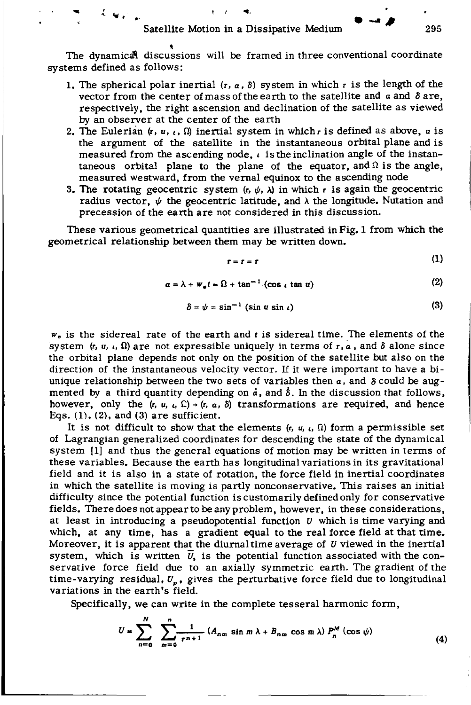$\bullet$  ,  $\mathcal{L}(q_{\mathcal{F},\mathcal{L}})$  , and the set of  $\bullet$ 

The dynamical discussions will be framed in three conventional coordinate systems defined as follows:

- 1. The spherical polar inertial  $(r, a, \delta)$  system in which r is the length of the vector from the center of mass of the earth to the satellite and *a* and *8* are, respectively, the right ascension and declination of the satellite as viewed by an observer at the center of the earth
- 2. The Eulerian  $(r, u, t, \Omega)$  inertial system in which r is defined as above, u is the argument of the satellite in the instantaneous orbital plane and is measured from the ascending node,  $\iota$  is the inclination angle of the instantaneous orbital plane to the plane of the equator, and  $\Omega$  is the angle, measured westward, from the vernal equinox to the ascending node
- 3. The rotating geocentric system  $(r, \psi, \lambda)$  in which r is again the geocentric radius vector,  $\psi$  the geocentric latitude, and  $\lambda$  the longitude. Nutation and precession of the earth are not considered in this discussion.

These various geometrical quantities are illustrated in Fig. 1 from which the geometrical relationship between them may be written down.

$$
r = r = r \tag{1}
$$

 $a = \lambda + w_a t = \Omega + \tan^{-1} (\cos t \tan u)$  (2)

$$
\delta = \psi = \sin^{-1} (\sin u \sin u)
$$
 (3)

*w.* is the sidereal rate of the earth and *t* is sidereal time. The elements of the system  $(r, u, t, \Omega)$  are not expressible uniquely in terms of  $r, a$ , and  $\delta$  alone since the orbital plane depends not only on the position of the satellite but also on the direction of the instantaneous velocity vector. lf it were important to have a biunique relationship between the two sets of variables then  $a$ , and  $\delta$  could be augmented by a third quantity depending on  $\dot{a}$ , and  $\dot{\delta}$ . In the discussion that follows, however, only the  $(r, u, u, \Omega) \rightarrow (r, a, \delta)$  transformations are required, and hence Eqs.  $(1)$ ,  $(2)$ , and  $(3)$  are sufficient.

It is not difficult to show that the elements  $(r, u, t)$  form a permissible set of Lagrangian generalized coordinates for descending the state of the dynamical system [1] and thus the general equations of motion may be written in terms of these variables. Because the earth has longitudinal variations in its gravitational field and it is also in a state of rotation, the force field in inertial coordinates in which the satellite is moving is partly nonconservative. This raises an initial difficulty since the potential function is customarily defined only for conservative fields. Theredoesnotappeartobeanyproblem, however, in these considerations, at least in introducing a pseudopotential function  $U$  which is time varying and which, at any time, has a gradient equal to the real force field at that time. Moreover, it is apparent that the diurnal time average of *U* viewed in the inertial system, which is written  $\overline{U}$ , is the potential function associated with the conservative force field due to an axially symmetric earth. The gradient of the time-varying residual,  $U_p$ , gives the perturbative force field due to longitudinal variations in the earth's field.

Specifically, we can write in the complete tesseral harmonic form,

$$
U = \sum_{n=0}^{N} \sum_{m=0}^{n} \frac{1}{r^{n+1}} (A_{nm} \sin m \lambda + B_{nm} \cos m \lambda) P_n^M(\cos \psi)
$$
 (4)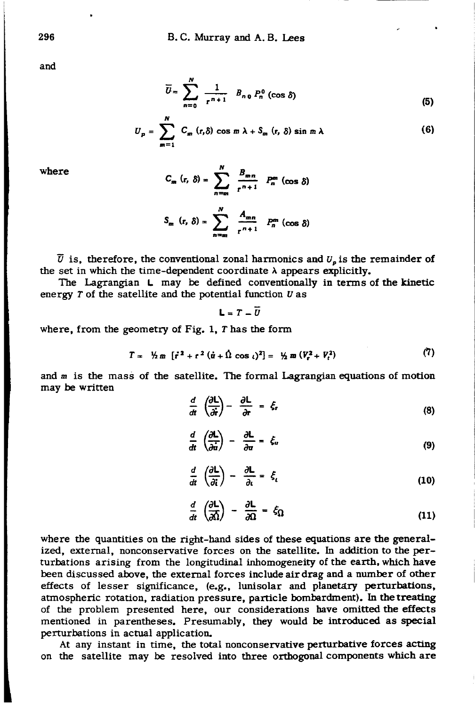and

$$
\overline{U} = \sum_{n=0}^{N} \frac{1}{r^{n+1}} B_{n,0} P_n^0 \left(\cos \delta\right)
$$
 (5)

$$
U_p = \sum_{m=1}^N C_m (r, \delta) \cos m \lambda + S_m (r, \delta) \sin m \lambda \qquad (6)
$$

where

$$
C_m (r, \delta) = \sum_{n=m}^{N} \frac{B_{mn}}{r^{n+1}} P_n^m (\cos \delta)
$$

$$
S_m (r, \delta) = \sum_{n=m}^{N} \frac{A_{mn}}{r^{n+1}} P_n^m (\cos \delta)
$$

 $\overline{U}$  is, therefore, the conventional zonal harmonics and  $U_n$  is the remainder of the set in which the time-dependent coordinate  $\lambda$  appears explicitly.

The Lagrangian L may be defined conventionally in terms of the kinetic energy  $T$  of the satellite and the potential function  $U$  as

 $L = T - \overline{U}$ 

where, from the geometry of Fig. 1, T has the form

$$
T = \frac{1}{2} m \left[ i^2 + r^2 (u + \hat{\Omega} \cos t)^2 \right] = \frac{1}{2} m \left( V_t^2 + V_t^2 \right) \tag{7}
$$

and m is the mass of the satellite. The formal Lagrangian equations of motion may be written

$$
\frac{d}{dt}\left(\frac{\partial L}{\partial t}\right) - \frac{\partial L}{\partial t} = \xi_r \tag{8}
$$

$$
\frac{d}{dt}\left(\frac{\partial L}{\partial \dot{u}}\right) - \frac{\partial L}{\partial u} = \xi_u \tag{9}
$$

$$
\frac{d}{dt}\left(\frac{\partial L}{\partial \dot{\imath}}\right) - \frac{\partial L}{\partial \iota} = \xi_{\iota} \tag{10}
$$

$$
\frac{d}{dt}\left(\frac{\partial L}{\partial \Omega}\right) - \frac{\partial L}{\partial \Omega} = \xi_{\Omega} \tag{11}
$$

where the quantities on the right-hand sides of these equations are the generalized, external, nonconservative forces on the satellite. In addition to the perturbations arising from the longitudinal inhomogeneity of the earth, which have been discussed above, the external forces include air drag and a number of other effects of lesser significance, (e.g.. lunisolar and planetary perturbations, atmospheric rotation, radiation pressure, particle bombardment). In thetreating of the problem presented here, our considerations have omitted the effects mentioned in parentheses. Presumably, they would be introduced as special perturbations in actual application.

At any instant in time, the total nonconservative perturbative forces acting on the satellite may be resolved into three orthogonal components which are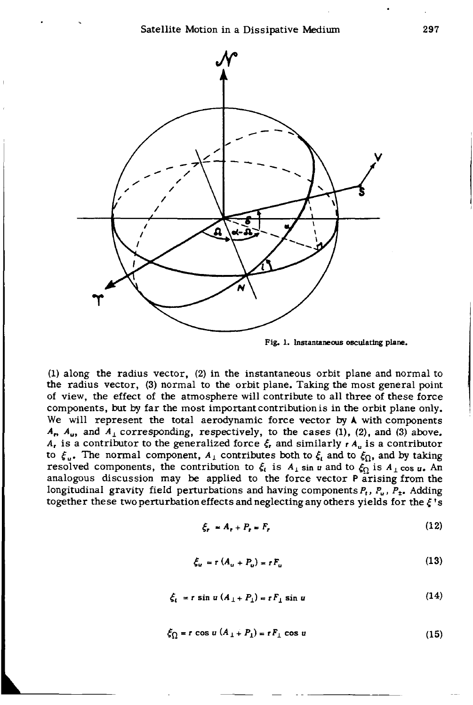Satellite Motion in a Dissipative Medium 297





(1) along the radius vector, (2) in the instantaneous orbit plane and normal to the radius vector, (3) normal to the orbit plane. Taking the most general point of view, the effect of the atmosphere will contribute to all three of these force components, but by far the most important contribution is in the orbit plane only. We will represent the total aerodynamic force vector by A with components  $A_n$ ,  $A_u$ , and  $A_i$  corresponding, respectively, to the cases (1), (2), and (3) above. *A*, is a contributor to the generalized force  $\xi$ , and similarly  $r A_n$  is a contributor to  $\xi_{\mu}$ . The normal component,  $A_{\perp}$  contributes both to  $\xi_{\mu}$  and to  $\xi_{\Omega}$ , and by taking resolved components, the contribution to  $\xi_i$  is  $A_1$  sin u and to  $\xi_0$  is  $A_1$  cos u. An analogous discussion may be applied to the force vector P arising from the longitudinal gravity field perturbations and having components *P,, Pu, Pt.* Adding together these two perturbation effects and neglecting any others yields for the  $\xi$ 's

$$
\xi_r = A_r + P_r = F_r \tag{12}
$$

$$
\xi_u = r (A_u + P_u) = r F_u \tag{13}
$$

$$
\xi_t = r \sin u \left( A_\perp + P_\perp \right) = r F_\perp \sin u \tag{14}
$$

$$
\xi_{\Omega} = r \cos u (A_{\perp} + P_{\perp}) = rF_{\perp} \cos u \tag{15}
$$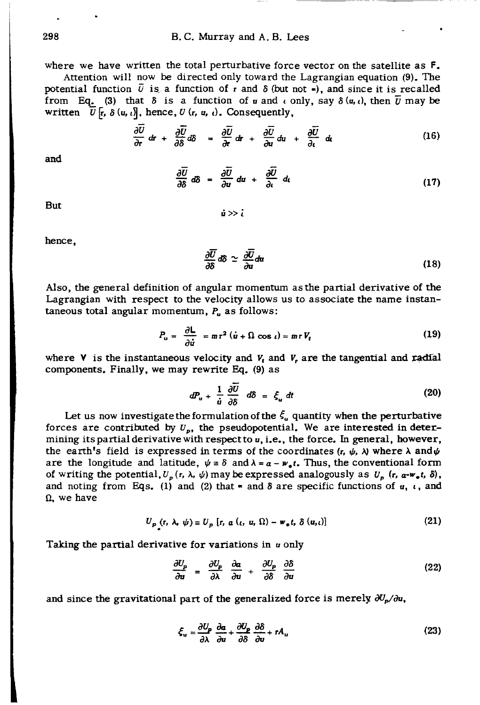where we have written the total perturbative force vector on the satellite as  $F$ .

Attention will now be directed only toward the Lagrangian equation (9). The potential function  $\overline{U}$  is a function of r and  $\delta$  (but not  $\overline{\bullet}$ ), and since it is recalled from Eq. (3) that  $\delta$  is a function of *u* and *c* only, say  $\delta(u, t)$ , then  $\overline{u}$  may be written  $\overline{U}$   $\left[$ *r*,  $\delta$   $\left($ *u*,  $\iota$ <sup>*i*</sup>, hence, *U*  $\left(r, u, \iota\right)$ . Consequently,

$$
\frac{\partial \overline{U}}{\partial r} dr + \frac{\partial \overline{U}}{\partial \delta} d\delta = \frac{\partial \overline{U}}{\partial r} dr + \frac{\partial \overline{U}}{\partial u} du + \frac{\partial \overline{U}}{\partial t} d\epsilon
$$
 (16)

and

$$
\frac{\partial \overline{U}}{\partial \delta} d\delta = \frac{\partial \overline{U}}{\partial u} du + \frac{\partial \overline{U}}{\partial t} d_{t}
$$
 (17)

But  $\dot{u} \gg \dot{i}$ 

hence,

$$
\frac{\partial \overline{U}}{\partial \delta} d\delta \simeq \frac{\partial \overline{U}}{\partial u} du \tag{18}
$$

Also, the general definition of angular momentum as the partial derivative of the Lagrangian with respect to the velocity allows us to associate the name instantaneous total angular momentum,  $P_u$  as follows:

$$
P_u = \frac{\partial L}{\partial \dot{u}} = mr^2 (\dot{u} + \Omega \cos t) = mr V_t
$$
 (19)

where  $V$  is the instantaneous velocity and  $V_t$  and  $V_t$  are the tangential and radial components. Finally, we may rewrite Eq. (9) as

$$
dP_u + \frac{1}{\dot{u}} \frac{\partial \overline{U}}{\partial \delta} d\delta = \xi_u dt
$$
 (20)

Let us now investigate the formulation of the  $\xi$ , quantity when the perturbative forces are contributed by  $U_p$ , the pseudopotential. We are interested in determining its partial derivative with respect to *u,* i.e., the force. In general, however, the earth's field is expressed in terms of the coordinates  $(r, \psi, \lambda)$  where  $\lambda$  and  $\psi$ are the longitude and latitude,  $\psi = \delta$  and  $\lambda = a - w_0 t$ . Thus, the conventional form of writing the potential,  $U_p(r, \lambda, \psi)$  may be expressed analogously as  $U_p(r, a-w_e t, \delta)$ , and noting from Eqs. (1) and (2) that  $\star$  and  $\delta$  are specific functions of *u*, *i*, and  $\Omega$ , we have

$$
U_p(r, \lambda, \psi) \equiv U_p[r, \alpha(\iota, u, \Omega) - w_e t, \delta(u, \iota)]
$$
 (21)

Taking the partial derivative for variations in *u* only

$$
\frac{\partial U_p}{\partial u} = \frac{\partial U_p}{\partial \lambda} \frac{\partial \alpha}{\partial u} + \frac{\partial U_p}{\partial \delta} \frac{\partial \delta}{\partial u}
$$
 (22)

and since the gravitational part of the generalized force is merely  $\partial U_{\alpha}/\partial u$ ,

$$
\xi_u = \frac{\partial U_p}{\partial \lambda} \frac{\partial a}{\partial u} + \frac{\partial U_p}{\partial \delta} \frac{\partial \delta}{\partial u} + rA_u \tag{23}
$$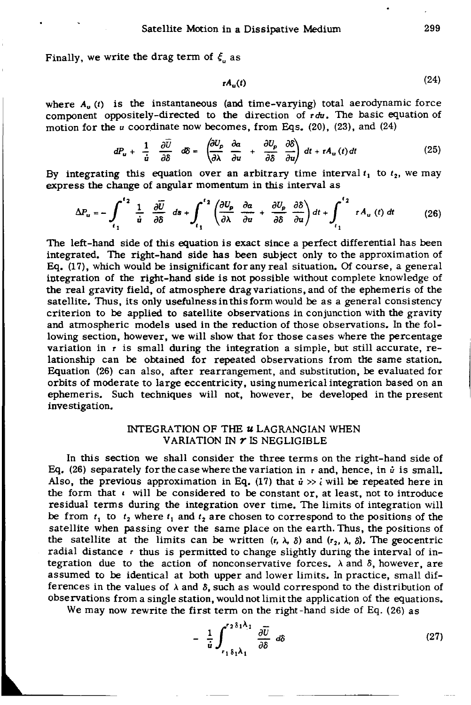Finally, we write the drag term of  $\xi$  as

$$
A_{\mathbf{u}}(t) \tag{24}
$$

where  $A_{\mu}$  (t) is the instantaneous (and time-varying) total aerodynamic force component oppositely-directed to the direction of *rdu.* The basic equation of motion for the *u* coordinate now becomes, from Eqs. (20), (23), and (24)

$$
dP_u + \frac{1}{\dot{u}} \frac{\partial \bar{U}}{\partial \delta} \quad d\delta = \left( \frac{\partial U_p}{\partial \lambda} \frac{\partial a}{\partial u} + \frac{\partial U_p}{\partial \delta} \frac{\partial \delta}{\partial u} \right) dt + rA_u(t) dt \qquad (25)
$$

By integrating this equation over an arbitrary time interval  $t_1$  to  $t_2$ , we may express the change of angular momentum in this interval as

$$
\Delta P_u = -\int_{t_1}^{t_2} \frac{1}{\dot{u}} \frac{\partial \overline{U}}{\partial \delta} ds + \int_{t_1}^{t_2} \left( \frac{\partial U_p}{\partial \lambda} \frac{\partial a}{\partial u} + \frac{\partial U_p}{\partial \delta} \frac{\partial \delta}{\partial u} \right) dt + \int_{t_1}^{t_2} r A_u(t) dt \qquad (26)
$$

The left-hand side of this equation is exact since a perfect differential has been integrated. The right-hand side has been subject only to the approximation of Eq. (17), which would be insignificant for any real situation. Of course, a general integration of the right-hand side is not possible without complete knowledge of the real gravity field, of atmosphere drag variations, and of the ephemeris of the satellite. Thus, its only usefulness in this form would be as a general consistency criterion to be applied to satellite observations in conjunction with the gravity and atmospheric models used in the reduction of those observations. In the following section, however, we will show that for those cases where the percentage variation in r is small during the integration a simple, but still accurate, relationship can be obtained for repeated observations from the same station. Equation (26) can also, after rearrangement, and substitution, be evaluated for orbits of moderate to large eccentricity, using numerical integration based on an ephemeris. Such techniques will not, however, be developed in the present investigation.

# INTEGRATION OF THE *u* LAGRANGIAN WHEN VARIATION IN *r* IS NEGLIGIBLE

In this section we shall consider the three terms on the right-hand side of Eq. (26) separately for the case where the variation in r and, hence, in  $\dot{u}$  is small. Also, the previous approximation in Eq. (17) that  $\dot{u} \gg \dot{\iota}$  will be repeated here in the form that  $\iota$  will be considered to be constant or, at least, not to introduce residual terms during the integration over time. The limits of integration will be from  $t_1$  to  $t_2$  where  $t_1$  and  $t_2$  are chosen to correspond to the positions of the satellite when passing over the same place on the earth. Thus, the positions of the satellite at the limits can be written  $(r, \lambda, \delta)$  and  $(r_2, \lambda, \delta)$ . The geocentric radial distance  $r$  thus is permitted to change slightly during the interval of integration due to the action of nonconservative forces.  $\lambda$  and  $\delta$ , however, are assumed to be identical at both upper and lower limits. In practice, small differences in the values of  $\lambda$  and  $\delta$ , such as would correspond to the distribution of observations from a single station, would not limit the application of the equations.

We may now rewrite the first term on the right-hand side of Eq. (26) as

$$
-\frac{1}{\dot{u}}\int_{r_1\delta_1\lambda_1}^{r_2\delta_1\lambda_1}\frac{\partial \overline{U}}{\partial \delta}d\delta\tag{27}
$$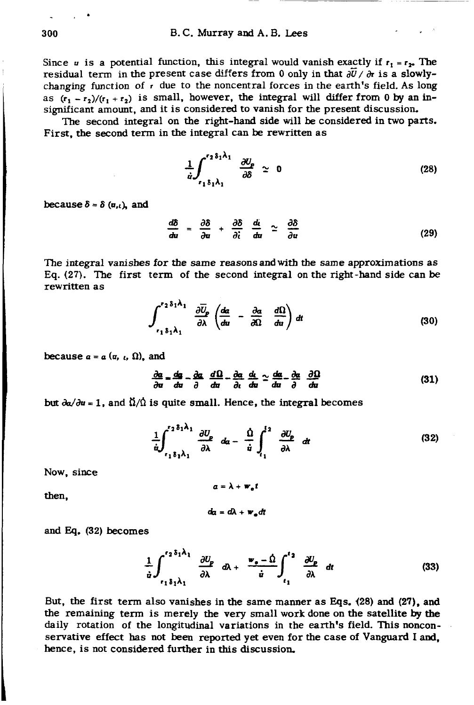Since *u* is a potential function, this integral would vanish exactly if  $r_1 = r_2$ . The residual term in the present case differs from 0 only in that  $\frac{\partial \bar{U}}{\partial r}$  is a slowlychanging function of  $r$  due to the noncentral forces in the earth's field. As long as  $(r_1 - r_2)/(r_1 + r_2)$  is small, however, the integral will differ from 0 by an insignificant amount, and it is considered to vanish for the present discussion.

The second integral on the right-hand side will be considered in two parts. First, the second term in the integral can be rewritten as

$$
\frac{1}{\dot{u}} \int_{r_1 \delta_1 \lambda_1}^{r_2 \delta_1 \lambda_1} \frac{\partial U_p}{\partial \delta} \simeq 0 \tag{28}
$$

because  $\delta = \delta$  ( $\alpha_{i}$ ,), and

$$
\frac{d\delta}{du} = \frac{\partial \delta}{\partial u} + \frac{\partial \delta}{\partial i} \frac{du}{du} \simeq \frac{\partial \delta}{\partial u} \tag{29}
$$

The integral vanishes for the same reasons and with the same approximations as Eq. (27). The first term of the second integral on the right-hand side can be rewritten as

$$
\int_{r_1\delta_1\lambda_1}^{r_2\delta_1\lambda_1} \frac{\partial \overline{U}_{\rho}}{\partial \lambda} \left( \frac{da}{du} - \frac{\partial a}{\partial \Omega} \frac{d\Omega}{du} \right) dt \tag{30}
$$

because  $a = a$   $(u, t, \Omega)$ , and

$$
\frac{\partial a}{\partial u} = \frac{da}{du} - \frac{\partial a}{\partial} \frac{d\Omega}{du} - \frac{\partial a}{\partial t} \frac{d\Omega}{du} \simeq \frac{da}{du} - \frac{\partial a}{\partial} \frac{\partial\Omega}{du}
$$
 (31)

but  $\partial \alpha / \partial u = 1$ , and  $\dot{\Omega} / \dot{\Omega}$  is quite small. Hence, the integral becomes

$$
\frac{1}{\dot{u}} \int_{r_1 \delta_1 \lambda_1}^{r_2 \delta_1 \lambda_1} \frac{\partial U_p}{\partial \lambda} d\alpha - \frac{\dot{\Omega}}{\dot{u}} \int_{r_1}^{r_2} \frac{\partial U_p}{\partial \lambda} d\alpha \qquad (32)
$$

Now, since

then,

$$
a = \lambda + w_{\bullet}t
$$

$$
dq = d\lambda + w_{\bullet}dt
$$

and Eq. 
$$
(32)
$$
 becomes

$$
\frac{1}{\dot{u}} \int_{r_1 \delta_1 \lambda_1}^{r_2 \delta_1 \lambda_1} \frac{\partial U_p}{\partial \lambda} d\lambda + \frac{w_o - \dot{\Omega}}{\dot{u}} \int_{r_1}^{r_2} \frac{\partial U_p}{\partial \lambda} dt
$$
 (33)

But, the first term also vanishes in the same manner as Eqs. (28) and (27), and the remaining term is merely the very small work done on the satellite by the daily rotation of the longitudinal variations in the earth's field. This nonconservative effect has not been reported yet even for the case of Vanguard I and, hence, is not considered further in this discussion.

$$
300
$$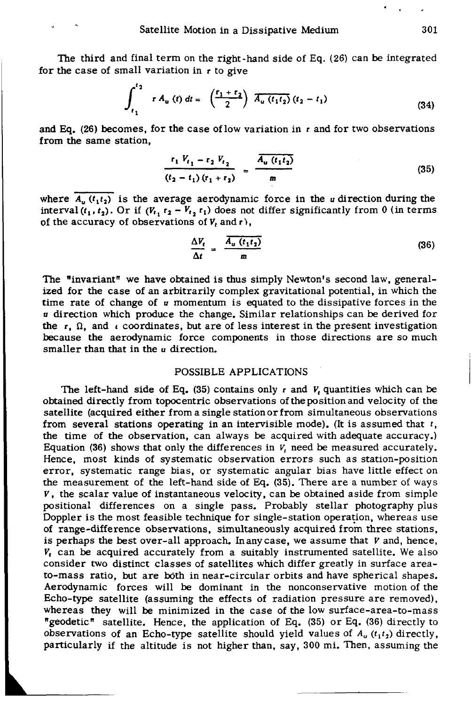The third and final term on the right-hand side of Eq. (26) can be integrated for the case of small variation in r to give

$$
\int_{t_1}^{t_2} r A_u(t) dt = \left(\frac{r_1 + r_2}{2}\right) \overline{A_u(t_1 t_2)} (t_2 - t_1)
$$
 (34)

and Eq. (26) becomes, for the case of low variation in  $r$  and for two observations from the same station,

$$
\frac{r_1 V_{t_1} - r_2 V_{t_2}}{(t_2 - t_1) (r_1 + r_2)} = \frac{\overline{A_u (t_1 t_2)}}{m}
$$
 (35)

where  $A_{\mu}$   $(t_1 t_2)$  is the average aerodynamic force in the *u* direction during the interval  $(t_1, t_2)$ . Or if  $(V_{t_1}r_2 - V_{t_2}r_1)$  does not differ significantly from 0 (in terms of the accuracy of observations of  $V_t$  and r),

$$
\frac{\Delta V_t}{\Delta t} = \frac{\overline{A_u (t_1 t_2)}}{m} \tag{36}
$$

The "invariant" we have obtained is thus simply Newton's second law, generalized for the case of an arbitrarily complex gravitational potential, in which the time rate of change of *u* momentum is equated to the dissipative forces in the *u* direction which produce the change. Similar relationships can be derived for the  $r, \Omega$ , and *t* coordinates, but are of less interest in the present investigation because the aerodynamic force components in those directions are so much smaller than that in the *u* direction.

#### POSSIBLE APPLICATIONS

The left-hand side of Eq. (35) contains only  $r$  and  $V_t$  quantities which can be obtained directly from topocentric observations ofthepositionand velocity of the satellite (acquired either from a single station or from simultaneous observations from several stations operating in an intervisible mode). (It is assumed that *t,*  the time of the observation, can always be acquired with adequate accuracy.) Equation (36) shows that only the differences in *v,* need be measured accurately. Hence, most kinds of systematic observation errors such as station-position error, systematic range bias, or systematic angular bias have little effect on the measurement of the left-hand side of Eq. (35). There are a number of ways V, the scalar value of instantaneous velocity, can be obtained aside from simple positional differences on a single pass. Probably stellar photography plus Doppler is the most feasible technique for single-station operation, whereas use of range-difference observations, simultaneously acquired from three stations, is perhaps the best over-all approach. Inanycase, we assume that *V* and, hence,  $V_t$  can be acquired accurately from a suitably instrumented satellite. We also consider two distinct classes of satellites which differ greatly in surface areato-mass ratio, but are both in near-circular orbits and have spherical shapes. Aerodynamic forces will be dominant in the nonconservative motion of the Echo-type satellite (assuming the effects of radiation pressure are removed), whereas they will be minimized in the case of the low surface-area-to-mass "geodetic" satellite. Hence, the application of Eq. (35) or Eq. (36) directly to observations of an Echo-type satellite should yield values of  $A_u(t_1 t_2)$  directly, particularly if the altitude is not higher than, say, 300 mi. Then, assuming the